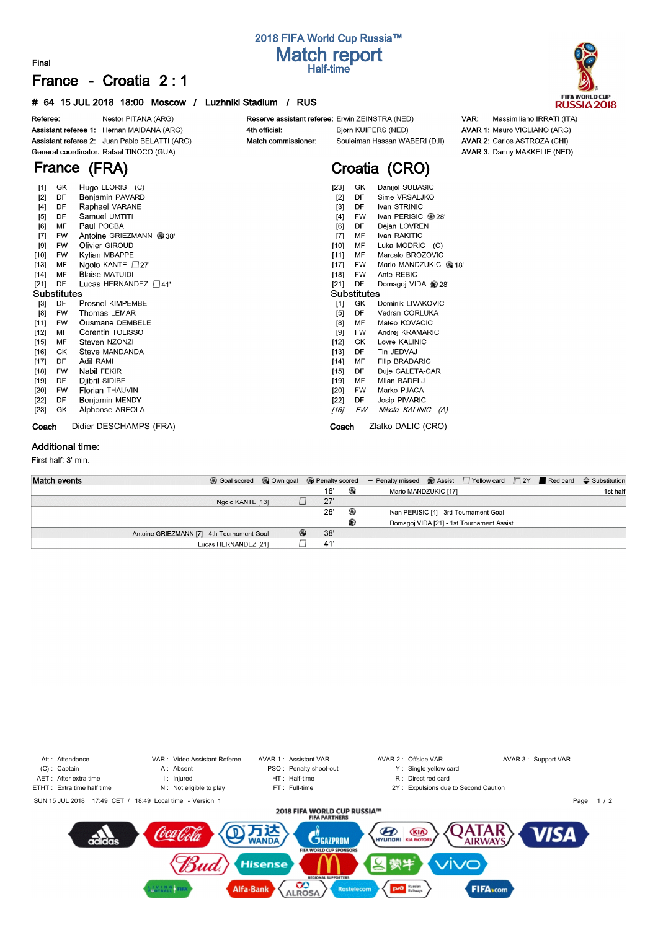# **2018 FIFA World Cup Russia™ Match report Final Half-time**

# **France - Croatia 2 : 1**

#### **# 64 15 JUL 2018 18:00 Moscow / Luzhniki Stadium / RUS**



| ĿЧ     | Ğ           | $110y0$ LLOINO (0)         | ו⊂י⊾ו       | ື                        | Daniel CODNOIC        |  |  |  |  |  |
|--------|-------------|----------------------------|-------------|--------------------------|-----------------------|--|--|--|--|--|
| $[2]$  | DF          | Benjamin PAVARD            | [2]         | DF                       | Sime VRSALJKO         |  |  |  |  |  |
| $[4]$  | DF          | Raphael VARANE             | $[3]$       | Ivan STRINIC<br>DF       |                       |  |  |  |  |  |
| [5]    | DF          | Samuel UMTITI              | [4]         | Ivan PERISIC @ 28'<br>FW |                       |  |  |  |  |  |
| [6]    | MF          | Paul POGBA                 | [6]         | Dejan LOVREN<br>DF       |                       |  |  |  |  |  |
| $[7]$  | <b>FW</b>   | Antoine GRIEZMANN @ 38'    | $[7]$       | Ivan RAKITIC<br>MF       |                       |  |  |  |  |  |
| [9]    | <b>FW</b>   | Olivier GIROUD             | $[10]$      | Luka MODRIC (C)<br>MF    |                       |  |  |  |  |  |
| $[10]$ | <b>FW</b>   | Kylian MBAPPE              | [11]        | MF                       | Marcelo BROZOVIC      |  |  |  |  |  |
| $[13]$ | MF          | Ngolo KANTE $\Box$ 27'     | $[17]$      | FW                       | Mario MANDZUKIC @18   |  |  |  |  |  |
| $[14]$ | MF          | <b>Blaise MATUIDI</b>      | $[18]$      | FW                       | Ante REBIC            |  |  |  |  |  |
| $[21]$ | DF          | Lucas HERNANDEZ $\Box$ 41' | $[21]$      | DF                       | Domagoj VIDA 28'      |  |  |  |  |  |
|        | Substitutes |                            | Substitutes |                          |                       |  |  |  |  |  |
| $[3]$  | DF          | Presnel KIMPEMBE           | [1]         | GK                       | Dominik LIVAKOVIC     |  |  |  |  |  |
| [8]    | <b>FW</b>   | Thomas LEMAR               | [5]         | DF                       | Vedran CORLUKA        |  |  |  |  |  |
| $[11]$ | <b>FW</b>   | <b>Ousmane DEMBELE</b>     | [8]         | МF                       | Mateo KOVACIC         |  |  |  |  |  |
| $[12]$ | MF          | Corentin TOLISSO           | [9]         | FW                       | Andrej KRAMARIC       |  |  |  |  |  |
| $[15]$ | MF          | Steven NZONZI              | $[12]$      | GK                       | Lovre KALINIC         |  |  |  |  |  |
| $[16]$ | GK          | Steve MANDANDA             | $[13]$      | DF                       | Tin JEDVAJ            |  |  |  |  |  |
| $[17]$ | DF          | Adil RAMI                  | $[14]$      | МF                       | <b>Filip BRADARIC</b> |  |  |  |  |  |
| $[18]$ | FW          | Nabil FEKIR                | $[15]$      | DF                       | Duje CALETA-CAR       |  |  |  |  |  |
| [19]   | DF          | Djibril SIDIBE             | $[19]$      | МF                       | Milan BADELJ          |  |  |  |  |  |
| $[20]$ | <b>FW</b>   | Florian THAUVIN            | $[20]$      | FW                       | Marko PJACA           |  |  |  |  |  |
| $[22]$ | DF          | Benjamin MENDY             | $[22]$      | DF                       | Josip PIVARIC         |  |  |  |  |  |
| $[23]$ | GK          | Alphonse AREOLA            | [16]        | FW                       | Nikola KALINIC<br>(A) |  |  |  |  |  |
| Coach  |             | Didier DESCHAMPS (FRA)     | Coach       |                          | Zlatko DALIC (CRO)    |  |  |  |  |  |
|        |             |                            |             |                          |                       |  |  |  |  |  |

#### **Additional time:**

First half: 3' min.

| Match events                                |                      |   |     |   | <b>   Good scored</b> Q Own good Go Penalty scored – Penalty missed  a Assist   Yellow card   2Y Red card $\Leftrightarrow$ Substitution |                                           |  |          |
|---------------------------------------------|----------------------|---|-----|---|------------------------------------------------------------------------------------------------------------------------------------------|-------------------------------------------|--|----------|
|                                             |                      |   | 18' | G | Mario MANDZUKIC [17]                                                                                                                     |                                           |  | 1st half |
|                                             | Ngolo KANTE [13]     |   | 27' |   |                                                                                                                                          |                                           |  |          |
|                                             |                      |   | 28' | ⊛ |                                                                                                                                          | Ivan PERISIC [4] - 3rd Tournament Goal    |  |          |
|                                             |                      |   |     | ⊛ |                                                                                                                                          | Domagoj VIDA [21] - 1st Tournament Assist |  |          |
| Antoine GRIEZMANN [7] - 4th Tournament Goal |                      | ⊕ | 38' |   |                                                                                                                                          |                                           |  |          |
|                                             | Lucas HERNANDEZ [21] |   | 41  |   |                                                                                                                                          |                                           |  |          |



Att : Attendance **VAR : Video Assistant Referee** AVAR 1 : Assistant VAR AVAR 2 : Offside VAR AVAR 3 : Support VAR <br>(C) : Captain At Absent PSO : Penalty shoot-out Y : Single yellow card



VAR: Massimiliano IRRATI (ITA) AVAR 1: Mauro VIGLIANO (ARG) AVAR 2: Carlos ASTROZA (CHI) AVAR 3: Danny MAKKELIE (NED)